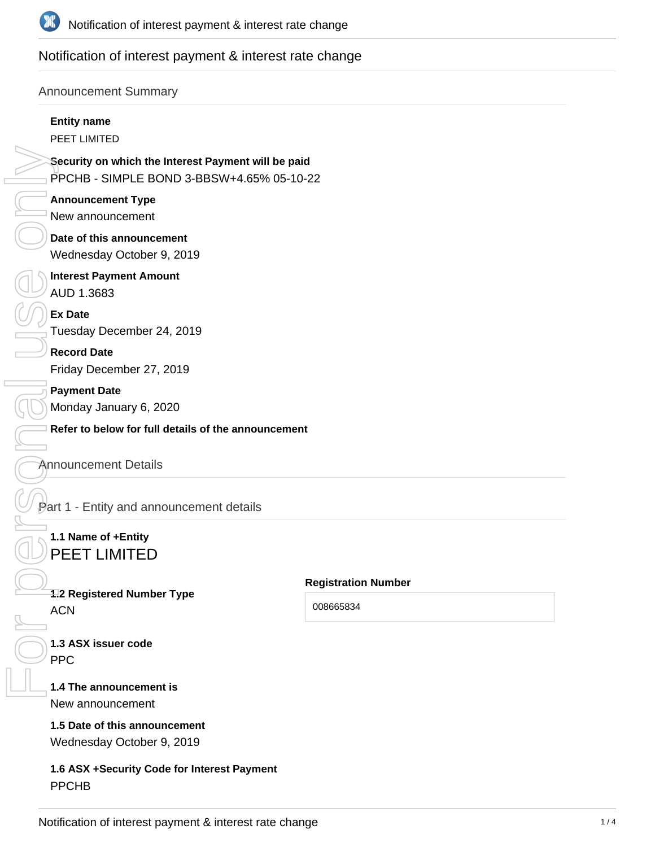

# Notification of interest payment & interest rate change

### Announcement Summary

#### **Entity name**

PEET LIMITED

**Security on which the Interest Payment will be paid** PPCHB - SIMPLE BOND 3-BBSW+4.65% 05-10-22

**Announcement Type** New announcement

**Date of this announcement** Wednesday October 9, 2019

**Interest Payment Amount** AUD 1.3683 FOR PERSONAL USE ONLY

**Ex Date** Tuesday December 24, 2019

**Record Date** Friday December 27, 2019

**Payment Date** Monday January 6, 2020

**Refer to below for full details of the announcement**

#### Announcement Details

Part 1 - Entity and announcement details

# **1.1 Name of +Entity** PEET LIMITED

**1.2 Registered Number Type**

ACN

**Registration Number**

008665834

**1.3 ASX issuer code** PPC

#### **1.4 The announcement is**

New announcement

# **1.5 Date of this announcement**

Wednesday October 9, 2019

**1.6 ASX +Security Code for Interest Payment**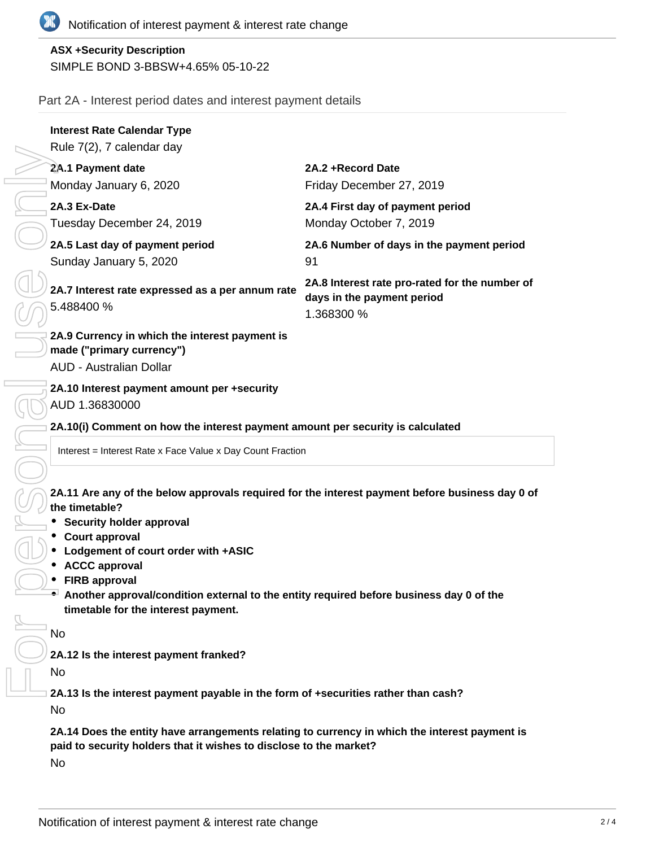

# **ASX +Security Description** SIMPLE BOND 3-BBSW+4.65% 05-10-22

### Part 2A - Interest period dates and interest payment details

|                                        | <b>Interest Rate Calendar Type</b>                                                                                                                                                                                                                                                                                                                                                              |                                                                                            |  |
|----------------------------------------|-------------------------------------------------------------------------------------------------------------------------------------------------------------------------------------------------------------------------------------------------------------------------------------------------------------------------------------------------------------------------------------------------|--------------------------------------------------------------------------------------------|--|
|                                        | Rule 7(2), 7 calendar day                                                                                                                                                                                                                                                                                                                                                                       |                                                                                            |  |
|                                        | 2A.1 Payment date                                                                                                                                                                                                                                                                                                                                                                               | 2A.2 + Record Date                                                                         |  |
|                                        | Monday January 6, 2020                                                                                                                                                                                                                                                                                                                                                                          | Friday December 27, 2019                                                                   |  |
|                                        | 2A.3 Ex-Date                                                                                                                                                                                                                                                                                                                                                                                    | 2A.4 First day of payment period                                                           |  |
|                                        | Tuesday December 24, 2019                                                                                                                                                                                                                                                                                                                                                                       | Monday October 7, 2019                                                                     |  |
|                                        | 2A.5 Last day of payment period                                                                                                                                                                                                                                                                                                                                                                 | 2A.6 Number of days in the payment period                                                  |  |
|                                        | Sunday January 5, 2020                                                                                                                                                                                                                                                                                                                                                                          | 91                                                                                         |  |
|                                        | 2A.7 Interest rate expressed as a per annum rate<br>5.488400 %                                                                                                                                                                                                                                                                                                                                  | 2A.8 Interest rate pro-rated for the number of<br>days in the payment period<br>1.368300 % |  |
|                                        | 2A.9 Currency in which the interest payment is<br>made ("primary currency")<br><b>AUD - Australian Dollar</b>                                                                                                                                                                                                                                                                                   |                                                                                            |  |
|                                        | 2A.10 Interest payment amount per +security<br>AUD 1.36830000<br>2A.10(i) Comment on how the interest payment amount per security is calculated                                                                                                                                                                                                                                                 |                                                                                            |  |
|                                        |                                                                                                                                                                                                                                                                                                                                                                                                 |                                                                                            |  |
|                                        | Interest = Interest Rate x Face Value x Day Count Fraction                                                                                                                                                                                                                                                                                                                                      |                                                                                            |  |
|                                        | 2A.11 Are any of the below approvals required for the interest payment before business day 0 of<br>the timetable?<br><b>Security holder approval</b><br>• Court approval<br>• Lodgement of court order with +ASIC<br>• ACCC approval<br>• FIRB approval<br>Another approval/condition external to the entity required before business day 0 of the<br>timetable for the interest payment.<br>No |                                                                                            |  |
| 2A.12 Is the interest payment franked? |                                                                                                                                                                                                                                                                                                                                                                                                 |                                                                                            |  |
|                                        | No                                                                                                                                                                                                                                                                                                                                                                                              |                                                                                            |  |
|                                        |                                                                                                                                                                                                                                                                                                                                                                                                 |                                                                                            |  |
|                                        | 2A.13 Is the interest payment payable in the form of +securities rather than cash?<br>No                                                                                                                                                                                                                                                                                                        |                                                                                            |  |

No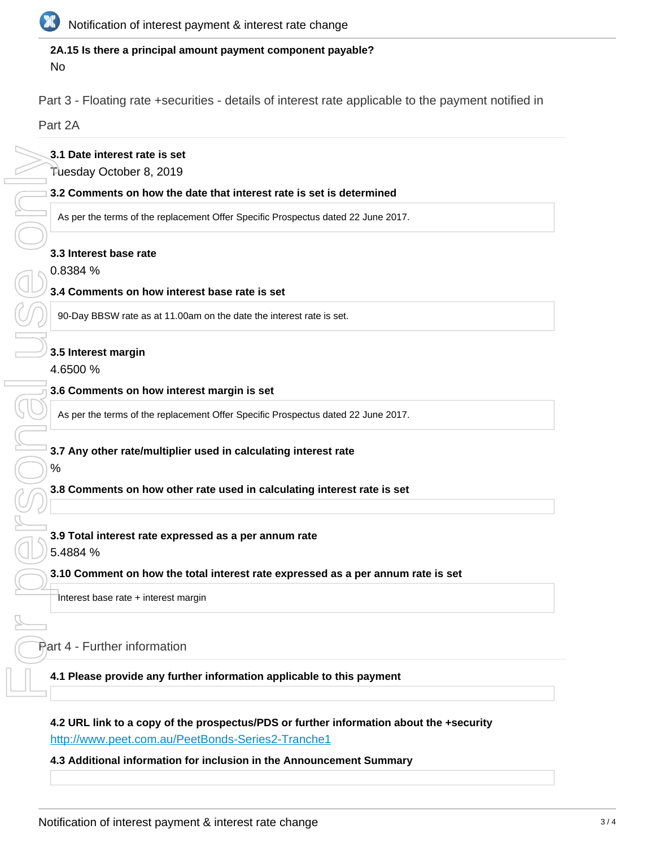

#### **2A.15 Is there a principal amount payment component payable?** No

Part 3 - Floating rate +securities - details of interest rate applicable to the payment notified in

Part 2A

#### **3.1 Date interest rate is set**

Tuesday October 8, 2019

**3.2 Comments on how the date that interest rate is set is determined**

As per the terms of the replacement Offer Specific Prospectus dated 22 June 2017.

#### **3.3 Interest base rate**

0.8384 %

#### **3.4 Comments on how interest base rate is set**

90-Day BBSW rate as at 11.00am on the date the interest rate is set.

#### **3.5 Interest margin**

4.6500 %

#### **3.6 Comments on how interest margin is set**

As per the terms of the replacement Offer Specific Prospectus dated 22 June 2017.

#### **3.7 Any other rate/multiplier used in calculating interest rate**

#### **3.8 Comments on how other rate used in calculating interest rate is set**

**3.9 Total interest rate expressed as a per annum rate** 5.4884 %

#### **3.10 Comment on how the total interest rate expressed as a per annum rate is set**

Interest base rate + interest margin

## Part 4 - Further information

**4.1 Please provide any further information applicable to this payment**

**4.2 URL link to a copy of the prospectus/PDS or further information about the +security** <http://www.peet.com.au/PeetBonds-Series2-Tranche1>